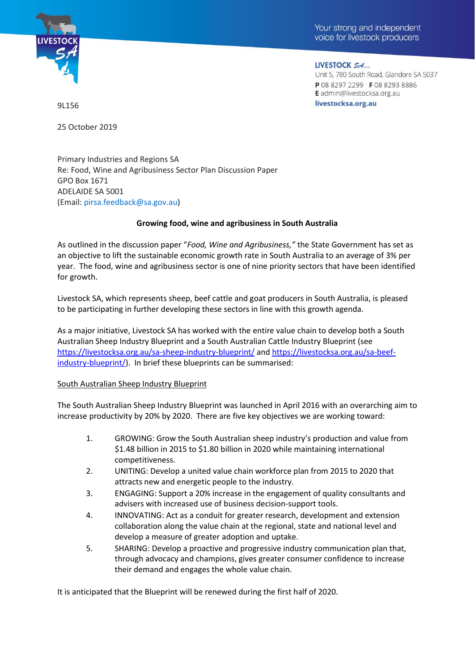



LIVESTOCK SA... Unit 5, 780 South Road, Glandore SA 5037 P 08 8297 2299 F 08 8293 8886 E admin@livestocksa.org.au livestocksa.org.au

9L156

25 October 2019

Primary Industries and Regions SA Re: Food, Wine and Agribusiness Sector Plan Discussion Paper GPO Box 1671 ADELAIDE SA 5001 (Email: [pirsa.feedback@sa.gov.au\)](mailto:pirsa.feedback@sa.gov.au?subject=Growing%20SA%27s%20food%2C%20wine%20and%20agribusiness)

### **Growing food, wine and agribusiness in South Australia**

As outlined in the discussion paper "*Food, Wine and Agribusiness,"* the State Government has set as an objective to lift the sustainable economic growth rate in South Australia to an average of 3% per year. The food, wine and agribusiness sector is one of nine priority sectors that have been identified for growth.

Livestock SA, which represents sheep, beef cattle and goat producers in South Australia, is pleased to be participating in further developing these sectors in line with this growth agenda.

As a major initiative, Livestock SA has worked with the entire value chain to develop both a South Australian Sheep Industry Blueprint and a South Australian Cattle Industry Blueprint (see <https://livestocksa.org.au/sa-sheep-industry-blueprint/> and [https://livestocksa.org.au/sa-beef](https://livestocksa.org.au/sa-beef-industry-blueprint/)[industry-blueprint/\)](https://livestocksa.org.au/sa-beef-industry-blueprint/). In brief these blueprints can be summarised:

### South Australian Sheep Industry Blueprint

The South Australian Sheep Industry Blueprint was launched in April 2016 with an overarching aim to increase productivity by 20% by 2020. There are five key objectives we are working toward:

- 1. GROWING: Grow the South Australian sheep industry's production and value from \$1.48 billion in 2015 to \$1.80 billion in 2020 while maintaining international competitiveness.
- 2. UNITING: Develop a united value chain workforce plan from 2015 to 2020 that attracts new and energetic people to the industry.
- 3. ENGAGING: Support a 20% increase in the engagement of quality consultants and advisers with increased use of business decision-support tools.
- 4. INNOVATING: Act as a conduit for greater research, development and extension collaboration along the value chain at the regional, state and national level and develop a measure of greater adoption and uptake.
- 5. SHARING: Develop a proactive and progressive industry communication plan that, through advocacy and champions, gives greater consumer confidence to increase their demand and engages the whole value chain.

It is anticipated that the Blueprint will be renewed during the first half of 2020.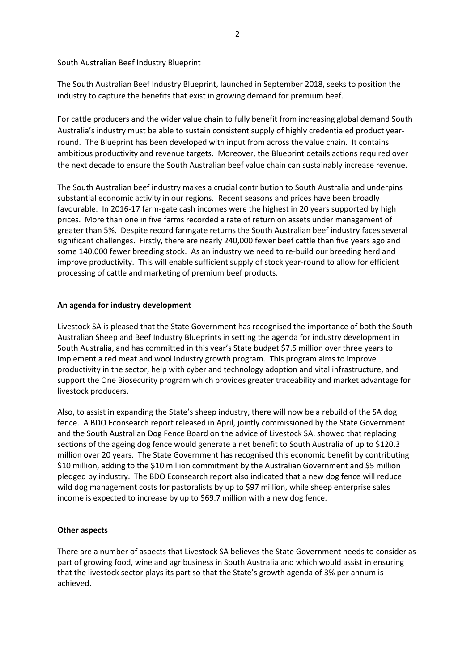#### South Australian Beef Industry Blueprint

The South Australian Beef Industry Blueprint, launched in September 2018, seeks to position the industry to capture the benefits that exist in growing demand for premium beef.

For cattle producers and the wider value chain to fully benefit from increasing global demand South Australia's industry must be able to sustain consistent supply of highly credentialed product yearround. The Blueprint has been developed with input from across the value chain. It contains ambitious productivity and revenue targets. Moreover, the Blueprint details actions required over the next decade to ensure the South Australian beef value chain can sustainably increase revenue.

The South Australian beef industry makes a crucial contribution to South Australia and underpins substantial economic activity in our regions. Recent seasons and prices have been broadly favourable. In 2016-17 farm-gate cash incomes were the highest in 20 years supported by high prices. More than one in five farms recorded a rate of return on assets under management of greater than 5%. Despite record farmgate returns the South Australian beef industry faces several significant challenges. Firstly, there are nearly 240,000 fewer beef cattle than five years ago and some 140,000 fewer breeding stock. As an industry we need to re-build our breeding herd and improve productivity. This will enable sufficient supply of stock year-round to allow for efficient processing of cattle and marketing of premium beef products.

### **An agenda for industry development**

Livestock SA is pleased that the State Government has recognised the importance of both the South Australian Sheep and Beef Industry Blueprints in setting the agenda for industry development in South Australia, and has committed in this year's State budget \$7.5 million over three years to implement a red meat and wool industry growth program. This program aims to improve productivity in the sector, help with cyber and technology adoption and vital infrastructure, and support the One Biosecurity program which provides greater traceability and market advantage for livestock producers.

Also, to assist in expanding the State's sheep industry, there will now be a rebuild of the SA dog fence. A BDO Econsearch report released in April, jointly commissioned by the State Government and the South Australian Dog Fence Board on the advice of Livestock SA, showed that replacing sections of the ageing dog fence would generate a net benefit to South Australia of up to \$120.3 million over 20 years. The State Government has recognised this economic benefit by contributing \$10 million, adding to the \$10 million commitment by the Australian Government and \$5 million pledged by industry. The BDO Econsearch report also indicated that a new dog fence will reduce wild dog management costs for pastoralists by up to \$97 million, while sheep enterprise sales income is expected to increase by up to \$69.7 million with a new dog fence.

#### **Other aspects**

There are a number of aspects that Livestock SA believes the State Government needs to consider as part of growing food, wine and agribusiness in South Australia and which would assist in ensuring that the livestock sector plays its part so that the State's growth agenda of 3% per annum is achieved.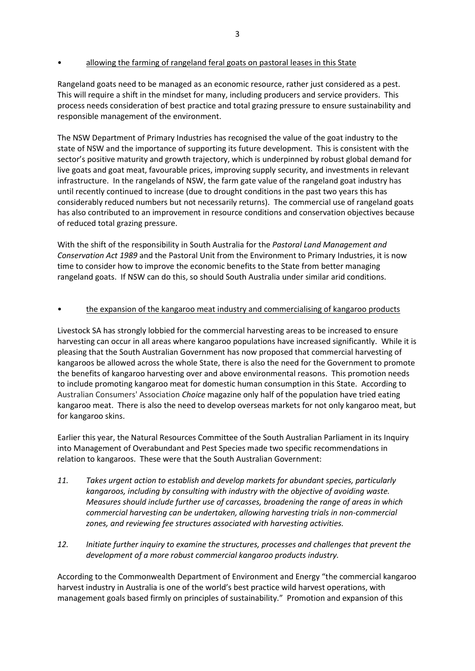## • allowing the farming of rangeland feral goats on pastoral leases in this State

Rangeland goats need to be managed as an economic resource, rather just considered as a pest. This will require a shift in the mindset for many, including producers and service providers. This process needs consideration of best practice and total grazing pressure to ensure sustainability and responsible management of the environment.

The NSW Department of Primary Industries has recognised the value of the goat industry to the state of NSW and the importance of supporting its future development. This is consistent with the sector's positive maturity and growth trajectory, which is underpinned by robust global demand for live goats and goat meat, favourable prices, improving supply security, and investments in relevant infrastructure. In the rangelands of NSW, the farm gate value of the rangeland goat industry has until recently continued to increase (due to drought conditions in the past two years this has considerably reduced numbers but not necessarily returns). The commercial use of rangeland goats has also contributed to an improvement in resource conditions and conservation objectives because of reduced total grazing pressure.

With the shift of the responsibility in South Australia for the *Pastoral Land Management and Conservation Act 1989* and the Pastoral Unit from the Environment to Primary Industries, it is now time to consider how to improve the economic benefits to the State from better managing rangeland goats. If NSW can do this, so should South Australia under similar arid conditions.

## • the expansion of the kangaroo meat industry and commercialising of kangaroo products

Livestock SA has strongly lobbied for the commercial harvesting areas to be increased to ensure harvesting can occur in all areas where kangaroo populations have increased significantly. While it is pleasing that the South Australian Government has now proposed that commercial harvesting of kangaroos be allowed across the whole State, there is also the need for the Government to promote the benefits of kangaroo harvesting over and above environmental reasons. This promotion needs to include promoting kangaroo meat for domestic human consumption in this State. According to Australian Consumers' Association *Choice* magazine only half of the population have tried eating kangaroo meat. There is also the need to develop overseas markets for not only kangaroo meat, but for kangaroo skins.

Earlier this year, the Natural Resources Committee of the South Australian Parliament in its Inquiry into Management of Overabundant and Pest Species made two specific recommendations in relation to kangaroos. These were that the South Australian Government:

- *11. Takes urgent action to establish and develop markets for abundant species, particularly kangaroos, including by consulting with industry with the objective of avoiding waste. Measures should include further use of carcasses, broadening the range of areas in which commercial harvesting can be undertaken, allowing harvesting trials in non-commercial zones, and reviewing fee structures associated with harvesting activities.*
- *12. Initiate further inquiry to examine the structures, processes and challenges that prevent the development of a more robust commercial kangaroo products industry.*

According to the Commonwealth Department of Environment and Energy "the commercial kangaroo harvest industry in Australia is one of the world's best practice wild harvest operations, with management goals based firmly on principles of sustainability." Promotion and expansion of this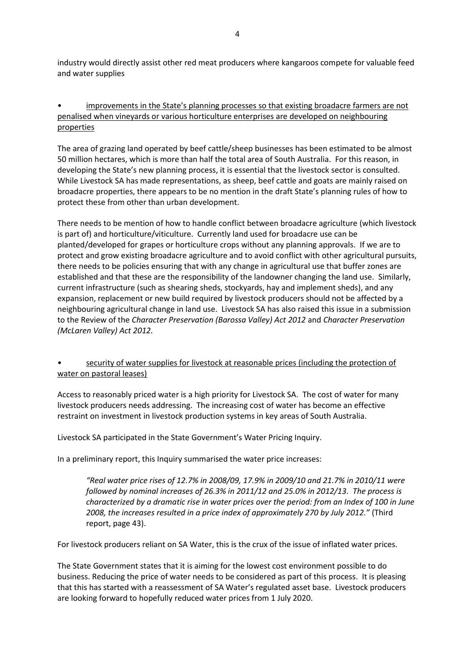industry would directly assist other red meat producers where kangaroos compete for valuable feed and water supplies

# • improvements in the State's planning processes so that existing broadacre farmers are not penalised when vineyards or various horticulture enterprises are developed on neighbouring properties

The area of grazing land operated by beef cattle/sheep businesses has been estimated to be almost 50 million hectares, which is more than half the total area of South Australia. For this reason, in developing the State's new planning process, it is essential that the livestock sector is consulted. While Livestock SA has made representations, as sheep, beef cattle and goats are mainly raised on broadacre properties, there appears to be no mention in the draft State's planning rules of how to protect these from other than urban development.

There needs to be mention of how to handle conflict between broadacre agriculture (which livestock is part of) and horticulture/viticulture. Currently land used for broadacre use can be planted/developed for grapes or horticulture crops without any planning approvals. If we are to protect and grow existing broadacre agriculture and to avoid conflict with other agricultural pursuits, there needs to be policies ensuring that with any change in agricultural use that buffer zones are established and that these are the responsibility of the landowner changing the land use. Similarly, current infrastructure (such as shearing sheds, stockyards, hay and implement sheds), and any expansion, replacement or new build required by livestock producers should not be affected by a neighbouring agricultural change in land use. Livestock SA has also raised this issue in a submission to the Review of the *Character Preservation (Barossa Valley) Act 2012* and *Character Preservation (McLaren Valley) Act 2012.*

# • security of water supplies for livestock at reasonable prices (including the protection of water on pastoral leases)

Access to reasonably priced water is a high priority for Livestock SA. The cost of water for many livestock producers needs addressing. The increasing cost of water has become an effective restraint on investment in livestock production systems in key areas of South Australia.

Livestock SA participated in the State Government's Water Pricing Inquiry.

In a preliminary report, this Inquiry summarised the water price increases:

*"Real water price rises of 12.7% in 2008/09, 17.9% in 2009/10 and 21.7% in 2010/11 were followed by nominal increases of 26.3% in 2011/12 and 25.0% in 2012/13. The process is characterized by a dramatic rise in water prices over the period: from an Index of 100 in June 2008, the increases resulted in a price index of approximately 270 by July 2012."* (Third report, page 43).

For livestock producers reliant on SA Water, this is the crux of the issue of inflated water prices.

The State Government states that it is aiming for the lowest cost environment possible to do business. Reducing the price of water needs to be considered as part of this process. It is pleasing that this has started with a reassessment of SA Water's regulated asset base. Livestock producers are looking forward to hopefully reduced water prices from 1 July 2020.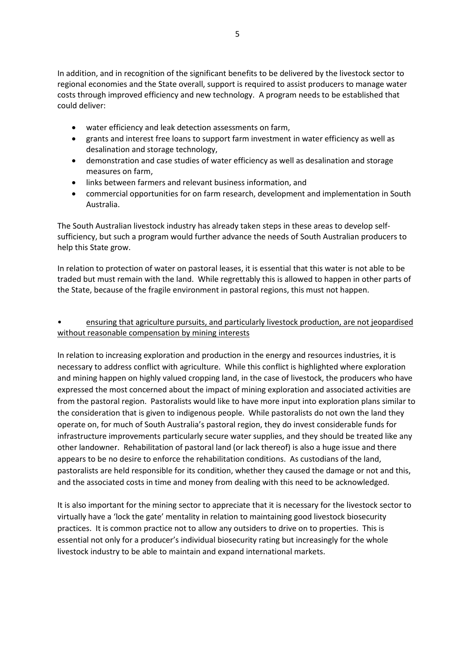In addition, and in recognition of the significant benefits to be delivered by the livestock sector to regional economies and the State overall, support is required to assist producers to manage water costs through improved efficiency and new technology. A program needs to be established that could deliver:

- water efficiency and leak detection assessments on farm,
- grants and interest free loans to support farm investment in water efficiency as well as desalination and storage technology,
- demonstration and case studies of water efficiency as well as desalination and storage measures on farm,
- links between farmers and relevant business information, and
- commercial opportunities for on farm research, development and implementation in South Australia.

The South Australian livestock industry has already taken steps in these areas to develop selfsufficiency, but such a program would further advance the needs of South Australian producers to help this State grow.

In relation to protection of water on pastoral leases, it is essential that this water is not able to be traded but must remain with the land. While regrettably this is allowed to happen in other parts of the State, because of the fragile environment in pastoral regions, this must not happen.

# • ensuring that agriculture pursuits, and particularly livestock production, are not jeopardised without reasonable compensation by mining interests

In relation to increasing exploration and production in the energy and resources industries, it is necessary to address conflict with agriculture. While this conflict is highlighted where exploration and mining happen on highly valued cropping land, in the case of livestock, the producers who have expressed the most concerned about the impact of mining exploration and associated activities are from the pastoral region. Pastoralists would like to have more input into exploration plans similar to the consideration that is given to indigenous people. While pastoralists do not own the land they operate on, for much of South Australia's pastoral region, they do invest considerable funds for infrastructure improvements particularly secure water supplies, and they should be treated like any other landowner. Rehabilitation of pastoral land (or lack thereof) is also a huge issue and there appears to be no desire to enforce the rehabilitation conditions. As custodians of the land, pastoralists are held responsible for its condition, whether they caused the damage or not and this, and the associated costs in time and money from dealing with this need to be acknowledged.

It is also important for the mining sector to appreciate that it is necessary for the livestock sector to virtually have a 'lock the gate' mentality in relation to maintaining good livestock biosecurity practices. It is common practice not to allow any outsiders to drive on to properties. This is essential not only for a producer's individual biosecurity rating but increasingly for the whole livestock industry to be able to maintain and expand international markets.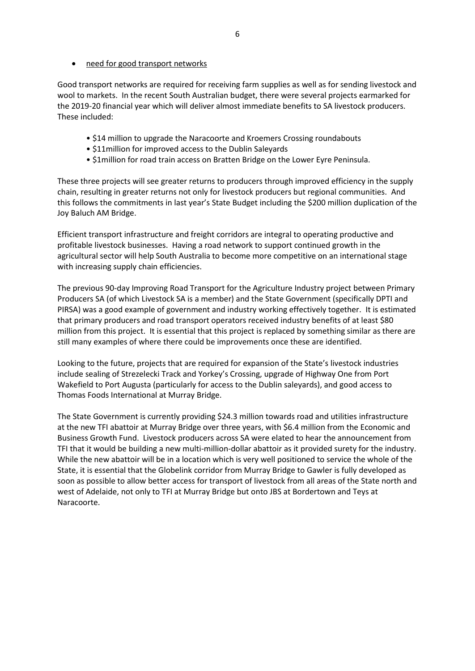Good transport networks are required for receiving farm supplies as well as for sending livestock and wool to markets. In the recent South Australian budget, there were several projects earmarked for the 2019-20 financial year which will deliver almost immediate benefits to SA livestock producers. These included:

- \$14 million to upgrade the Naracoorte and Kroemers Crossing roundabouts
- \$11million for improved access to the Dublin Saleyards
- \$1million for road train access on Bratten Bridge on the Lower Eyre Peninsula.

These three projects will see greater returns to producers through improved efficiency in the supply chain, resulting in greater returns not only for livestock producers but regional communities. And this follows the commitments in last year's State Budget including the \$200 million duplication of the Joy Baluch AM Bridge.

Efficient transport infrastructure and freight corridors are integral to operating productive and profitable livestock businesses. Having a road network to support continued growth in the agricultural sector will help South Australia to become more competitive on an international stage with increasing supply chain efficiencies.

The previous 90-day Improving Road Transport for the Agriculture Industry project between Primary Producers SA (of which Livestock SA is a member) and the State Government (specifically DPTI and PIRSA) was a good example of government and industry working effectively together. It is estimated that primary producers and road transport operators received industry benefits of at least \$80 million from this project. It is essential that this project is replaced by something similar as there are still many examples of where there could be improvements once these are identified.

Looking to the future, projects that are required for expansion of the State's livestock industries include sealing of Strezelecki Track and Yorkey's Crossing, upgrade of Highway One from Port Wakefield to Port Augusta (particularly for access to the Dublin saleyards), and good access to Thomas Foods International at Murray Bridge.

The State Government is currently providing \$24.3 million towards road and utilities infrastructure at the new TFI abattoir at Murray Bridge over three years, with \$6.4 million from the Economic and Business Growth Fund. Livestock producers across SA were elated to hear the announcement from TFI that it would be building a new multi-million-dollar abattoir as it provided surety for the industry. While the new abattoir will be in a location which is very well positioned to service the whole of the State, it is essential that the Globelink corridor from Murray Bridge to Gawler is fully developed as soon as possible to allow better access for transport of livestock from all areas of the State north and west of Adelaide, not only to TFI at Murray Bridge but onto JBS at Bordertown and Teys at Naracoorte.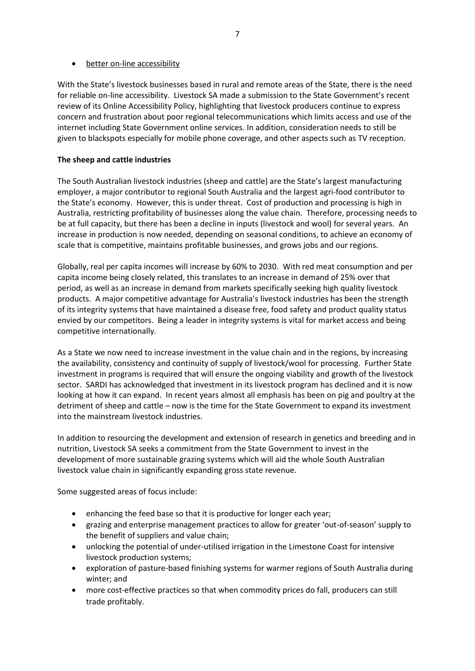## • better on-line accessibility

With the State's livestock businesses based in rural and remote areas of the State, there is the need for reliable on-line accessibility. Livestock SA made a submission to the State Government's recent review of its Online Accessibility Policy, highlighting that livestock producers continue to express concern and frustration about poor regional telecommunications which limits access and use of the internet including State Government online services. In addition, consideration needs to still be given to blackspots especially for mobile phone coverage, and other aspects such as TV reception.

# **The sheep and cattle industries**

The South Australian livestock industries (sheep and cattle) are the State's largest manufacturing employer, a major contributor to regional South Australia and the largest agri-food contributor to the State's economy. However, this is under threat. Cost of production and processing is high in Australia, restricting profitability of businesses along the value chain. Therefore, processing needs to be at full capacity, but there has been a decline in inputs (livestock and wool) for several years. An increase in production is now needed, depending on seasonal conditions, to achieve an economy of scale that is competitive, maintains profitable businesses, and grows jobs and our regions.

Globally, real per capita incomes will increase by 60% to 2030. With red meat consumption and per capita income being closely related, this translates to an increase in demand of 25% over that period, as well as an increase in demand from markets specifically seeking high quality livestock products. A major competitive advantage for Australia's livestock industries has been the strength of its integrity systems that have maintained a disease free, food safety and product quality status envied by our competitors. Being a leader in integrity systems is vital for market access and being competitive internationally.

As a State we now need to increase investment in the value chain and in the regions, by increasing the availability, consistency and continuity of supply of livestock/wool for processing. Further State investment in programs is required that will ensure the ongoing viability and growth of the livestock sector. SARDI has acknowledged that investment in its livestock program has declined and it is now looking at how it can expand. In recent years almost all emphasis has been on pig and poultry at the detriment of sheep and cattle – now is the time for the State Government to expand its investment into the mainstream livestock industries.

In addition to resourcing the development and extension of research in genetics and breeding and in nutrition, Livestock SA seeks a commitment from the State Government to invest in the development of more sustainable grazing systems which will aid the whole South Australian livestock value chain in significantly expanding gross state revenue.

Some suggested areas of focus include:

- enhancing the feed base so that it is productive for longer each year;
- grazing and enterprise management practices to allow for greater 'out-of-season' supply to the benefit of suppliers and value chain;
- unlocking the potential of under-utilised irrigation in the Limestone Coast for intensive livestock production systems;
- exploration of pasture-based finishing systems for warmer regions of South Australia during winter; and
- more cost-effective practices so that when commodity prices do fall, producers can still trade profitably.